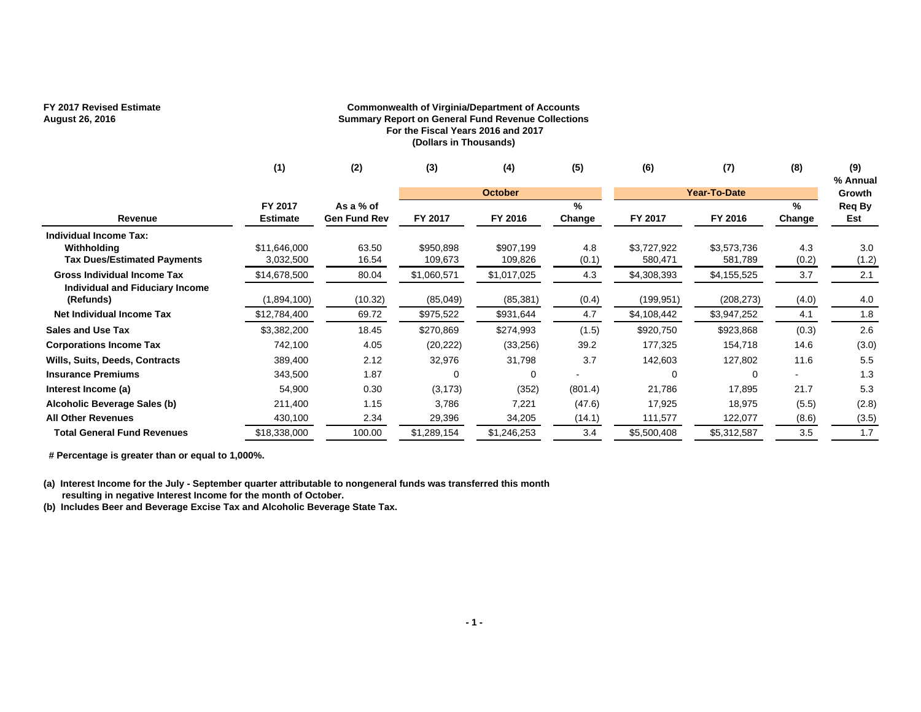## **FY 2017 Revised Estimate**

### **August 26, 2016**

#### **Commonwealth of Virginia/Department of Accounts Summary Report on General Fund Revenue Collections For the Fiscal Years 2016 and 2017 (Dollars in Thousands)**

|                                                                                    | (1)                         | (2)                              | (3)                     | (4)                      | (5)          | (6)                      | (7)                       | (8)          | (9)<br>% Annual |
|------------------------------------------------------------------------------------|-----------------------------|----------------------------------|-------------------------|--------------------------|--------------|--------------------------|---------------------------|--------------|-----------------|
|                                                                                    |                             |                                  |                         | <b>October</b>           |              |                          | Year-To-Date              |              | Growth          |
| Revenue                                                                            | FY 2017<br><b>Estimate</b>  | As a % of<br><b>Gen Fund Rev</b> | FY 2017                 | FY 2016                  | %<br>Change  | FY 2017                  | FY 2016                   | %<br>Change  | Req By<br>Est   |
| Individual Income Tax:<br>Withholding<br>Tax Dues/Estimated Payments               | \$11,646,000<br>3,032,500   | 63.50<br>16.54                   | \$950,898<br>109,673    | \$907,199<br>109,826     | 4.8<br>(0.1) | \$3,727,922<br>580,471   | \$3,573,736<br>581,789    | 4.3<br>(0.2) | 3.0<br>(1.2)    |
| <b>Gross Individual Income Tax</b><br>Individual and Fiduciary Income<br>(Refunds) | \$14,678,500<br>(1,894,100) | 80.04<br>(10.32)                 | \$1,060,571<br>(85,049) | \$1,017,025<br>(85, 381) | 4.3<br>(0.4) | \$4,308,393<br>(199,951) | \$4,155,525<br>(208, 273) | 3.7<br>(4.0) | 2.1<br>4.0      |
| Net Individual Income Tax                                                          | \$12,784,400                | 69.72                            | \$975,522               | \$931,644                | 4.7          | \$4,108,442              | \$3,947,252               | 4.1          | 1.8             |
| <b>Sales and Use Tax</b>                                                           | \$3,382,200                 | 18.45                            | \$270,869               | \$274,993                | (1.5)        | \$920,750                | \$923,868                 | (0.3)        | 2.6             |
| <b>Corporations Income Tax</b>                                                     | 742,100                     | 4.05                             | (20, 222)               | (33, 256)                | 39.2         | 177,325                  | 154,718                   | 14.6         | (3.0)           |
| <b>Wills, Suits, Deeds, Contracts</b>                                              | 389,400                     | 2.12                             | 32,976                  | 31,798                   | 3.7          | 142,603                  | 127,802                   | 11.6         | 5.5             |
| <b>Insurance Premiums</b>                                                          | 343,500                     | 1.87                             | ∩                       | 0                        |              |                          |                           |              | 1.3             |
| Interest Income (a)                                                                | 54,900                      | 0.30                             | (3, 173)                | (352)                    | (801.4)      | 21,786                   | 17,895                    | 21.7         | 5.3             |
| Alcoholic Beverage Sales (b)                                                       | 211,400                     | 1.15                             | 3,786                   | 7,221                    | (47.6)       | 17,925                   | 18,975                    | (5.5)        | (2.8)           |
| <b>All Other Revenues</b>                                                          | 430,100                     | 2.34                             | 29,396                  | 34,205                   | (14.1)       | 111,577                  | 122,077                   | (8.6)        | (3.5)           |
| <b>Total General Fund Revenues</b>                                                 | \$18,338,000                | 100.00                           | \$1,289,154             | \$1,246,253              | 3.4          | \$5,500,408              | \$5,312,587               | 3.5          | 1.7             |

 **# Percentage is greater than or equal to 1,000%.**

**(a) Interest Income for the July - September quarter attributable to nongeneral funds was transferred this month resulting in negative Interest Income for the month of October.**

**(b) Includes Beer and Beverage Excise Tax and Alcoholic Beverage State Tax.**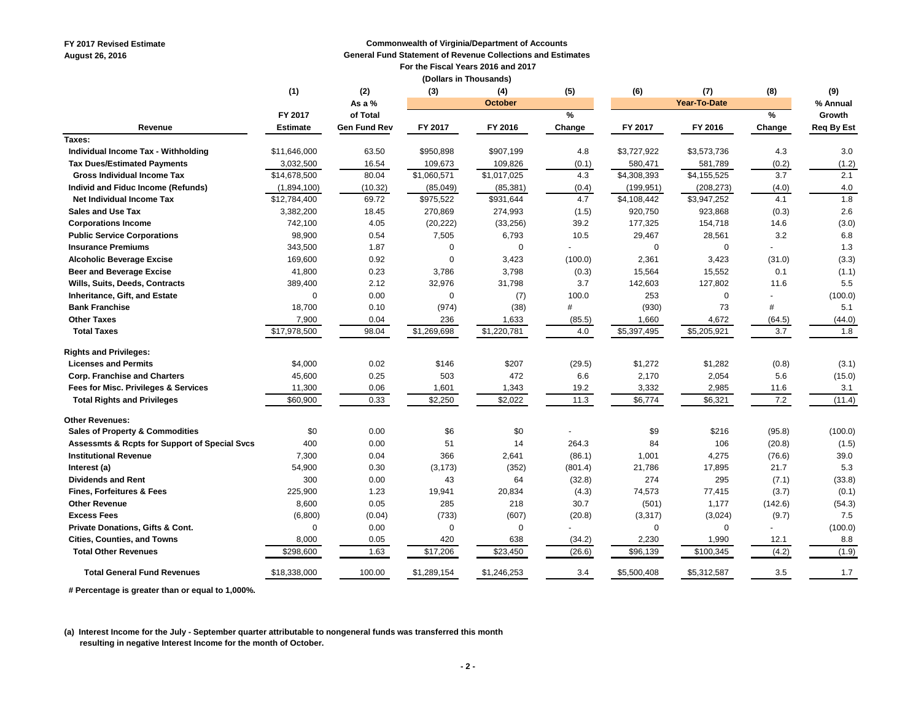**FY 2017 Revised Estimate Commonwealth of Virginia/Department of Accounts August 26, 2016 General Fund Statement of Revenue Collections and Estimates**

 **For the Fiscal Years 2016 and 2017** 

**(Dollars in Thousands)** 

|                                               | (1)             | (2)                 | (3)         | (4)            | (5)           | (6)         | (7)                 | (8)     | (9)               |
|-----------------------------------------------|-----------------|---------------------|-------------|----------------|---------------|-------------|---------------------|---------|-------------------|
|                                               |                 | As a %              |             | <b>October</b> |               |             | <b>Year-To-Date</b> |         | % Annual          |
|                                               | FY 2017         | of Total            |             |                | $\frac{9}{6}$ |             |                     | $\%$    | Growth            |
| Revenue                                       | <b>Estimate</b> | <b>Gen Fund Rev</b> | FY 2017     | FY 2016        | Change        | FY 2017     | FY 2016             | Change  | <b>Req By Est</b> |
| Taxes:                                        |                 |                     |             |                |               |             |                     |         |                   |
| Individual Income Tax - Withholding           | \$11,646,000    | 63.50               | \$950,898   | \$907,199      | 4.8           | \$3,727,922 | \$3,573,736         | 4.3     | 3.0               |
| <b>Tax Dues/Estimated Payments</b>            | 3,032,500       | 16.54               | 109,673     | 109,826        | (0.1)         | 580,471     | 581,789             | (0.2)   | (1.2)             |
| <b>Gross Individual Income Tax</b>            | \$14,678,500    | 80.04               | \$1,060,571 | \$1,017,025    | 4.3           | \$4,308,393 | \$4,155,525         | 3.7     | 2.1               |
| Individ and Fiduc Income (Refunds)            | (1,894,100)     | (10.32)             | (85,049)    | (85, 381)      | (0.4)         | (199, 951)  | (208, 273)          | (4.0)   | 4.0               |
| Net Individual Income Tax                     | \$12,784,400    | 69.72               | \$975,522   | \$931,644      | 4.7           | \$4,108,442 | \$3,947,252         | 4.1     | $\overline{1.8}$  |
| Sales and Use Tax                             | 3,382,200       | 18.45               | 270,869     | 274,993        | (1.5)         | 920,750     | 923,868             | (0.3)   | 2.6               |
| <b>Corporations Income</b>                    | 742,100         | 4.05                | (20, 222)   | (33, 256)      | 39.2          | 177,325     | 154,718             | 14.6    | (3.0)             |
| <b>Public Service Corporations</b>            | 98,900          | 0.54                | 7,505       | 6,793          | 10.5          | 29,467      | 28,561              | 3.2     | 6.8               |
| <b>Insurance Premiums</b>                     | 343,500         | 1.87                | $\Omega$    | $\mathbf 0$    |               | $\Omega$    | $\mathbf 0$         |         | 1.3               |
| <b>Alcoholic Beverage Excise</b>              | 169,600         | 0.92                | $\Omega$    | 3,423          | (100.0)       | 2,361       | 3,423               | (31.0)  | (3.3)             |
| <b>Beer and Beverage Excise</b>               | 41,800          | 0.23                | 3,786       | 3,798          | (0.3)         | 15,564      | 15,552              | 0.1     | (1.1)             |
| Wills, Suits, Deeds, Contracts                | 389,400         | 2.12                | 32,976      | 31,798         | 3.7           | 142,603     | 127,802             | 11.6    | 5.5               |
| Inheritance, Gift, and Estate                 | $\mathbf 0$     | 0.00                | $\mathbf 0$ | (7)            | 100.0         | 253         | $\Omega$            |         | (100.0)           |
| <b>Bank Franchise</b>                         | 18,700          | 0.10                | (974)       | (38)           | #             | (930)       | 73                  | #       | 5.1               |
| <b>Other Taxes</b>                            | 7,900           | 0.04                | 236         | 1,633          | (85.5)        | 1,660       | 4,672               | (64.5)  | (44.0)            |
| <b>Total Taxes</b>                            | \$17,978,500    | 98.04               | \$1,269,698 | \$1,220,781    | 4.0           | \$5,397,495 | \$5,205,921         | 3.7     | 1.8               |
| <b>Rights and Privileges:</b>                 |                 |                     |             |                |               |             |                     |         |                   |
| <b>Licenses and Permits</b>                   | \$4,000         | 0.02                | \$146       | \$207          | (29.5)        | \$1,272     | \$1,282             | (0.8)   | (3.1)             |
| <b>Corp. Franchise and Charters</b>           | 45,600          | 0.25                | 503         | 472            | 6.6           | 2,170       | 2,054               | 5.6     | (15.0)            |
| Fees for Misc. Privileges & Services          | 11,300          | 0.06                | 1,601       | 1,343          | 19.2          | 3,332       | 2,985               | 11.6    | 3.1               |
| <b>Total Rights and Privileges</b>            | \$60,900        | 0.33                | \$2,250     | \$2,022        | 11.3          | \$6,774     | \$6,321             | 7.2     | (11.4)            |
| <b>Other Revenues:</b>                        |                 |                     |             |                |               |             |                     |         |                   |
| <b>Sales of Property &amp; Commodities</b>    | \$0             | 0.00                | \$6         | \$0            |               | \$9         | \$216               | (95.8)  | (100.0)           |
| Assessmts & Rcpts for Support of Special Svcs | 400             | 0.00                | 51          | 14             | 264.3         | 84          | 106                 | (20.8)  | (1.5)             |
| <b>Institutional Revenue</b>                  | 7,300           | 0.04                | 366         | 2,641          | (86.1)        | 1,001       | 4,275               | (76.6)  | 39.0              |
| Interest (a)                                  | 54,900          | 0.30                | (3, 173)    | (352)          | (801.4)       | 21,786      | 17,895              | 21.7    | 5.3               |
| <b>Dividends and Rent</b>                     | 300             | 0.00                | 43          | 64             | (32.8)        | 274         | 295                 | (7.1)   | (33.8)            |
| <b>Fines, Forfeitures &amp; Fees</b>          | 225,900         | 1.23                | 19,941      | 20,834         | (4.3)         | 74,573      | 77,415              | (3.7)   | (0.1)             |
| <b>Other Revenue</b>                          | 8,600           | 0.05                | 285         | 218            | 30.7          | (501)       | 1,177               | (142.6) | (54.3)            |
| <b>Excess Fees</b>                            | (6,800)         | (0.04)              | (733)       | (607)          | (20.8)        | (3, 317)    | (3,024)             | (9.7)   | 7.5               |
| Private Donations, Gifts & Cont.              | $\mathbf 0$     | 0.00                | $\mathbf 0$ | 0              |               | $\mathbf 0$ | 0                   |         | (100.0)           |
| <b>Cities, Counties, and Towns</b>            | 8,000           | 0.05                | 420         | 638            | (34.2)        | 2,230       | 1,990               | 12.1    | 8.8               |
| <b>Total Other Revenues</b>                   | \$298,600       | 1.63                | \$17,206    | \$23,450       | (26.6)        | \$96,139    | \$100,345           | (4.2)   | (1.9)             |
| <b>Total General Fund Revenues</b>            | \$18,338,000    | 100.00              | \$1,289,154 | \$1,246,253    | 3.4           | \$5,500,408 | \$5,312,587         | 3.5     | 1.7               |

 **# Percentage is greater than or equal to 1,000%.** 

**(a) Interest Income for the July - September quarter attributable to nongeneral funds was transferred this month resulting in negative Interest Income for the month of October.**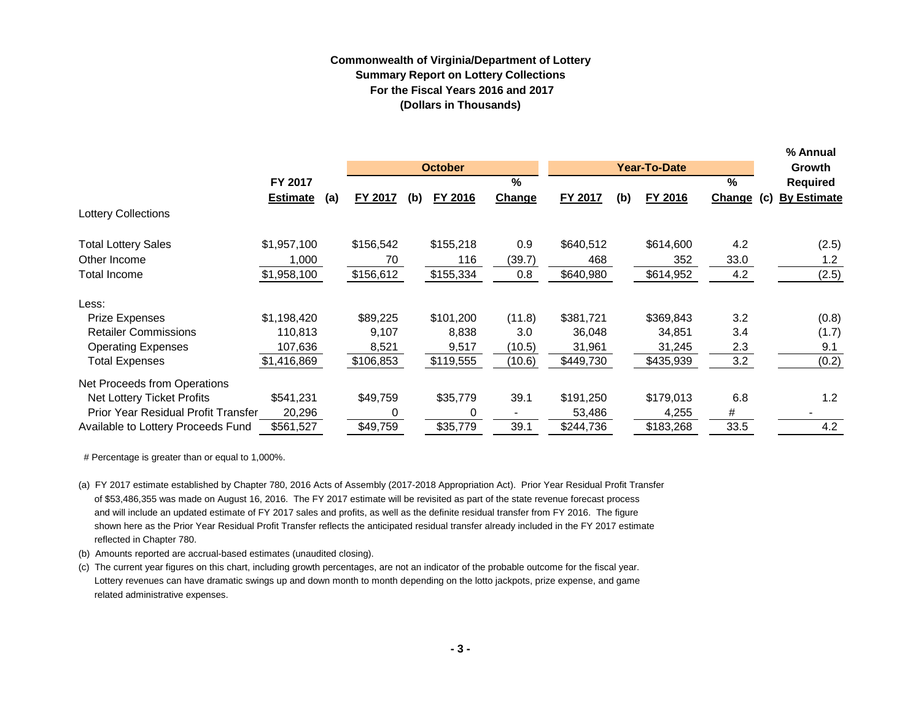## **Commonwealth of Virginia/Department of Lottery Summary Report on Lottery Collections For the Fiscal Years 2016 and 2017 (Dollars in Thousands)**

|                                     |                 |     |           |     |                |        |           |     |                     |        |     | % Annual           |
|-------------------------------------|-----------------|-----|-----------|-----|----------------|--------|-----------|-----|---------------------|--------|-----|--------------------|
|                                     |                 |     |           |     | <b>October</b> |        |           |     | <b>Year-To-Date</b> |        |     | <b>Growth</b>      |
|                                     | FY 2017         |     |           |     |                | $\%$   |           |     |                     | %      |     | Required           |
|                                     | <b>Estimate</b> | (a) | FY 2017   | (b) | FY 2016        | Change | FY 2017   | (b) | FY 2016             | Change | (C) | <b>By Estimate</b> |
| <b>Lottery Collections</b>          |                 |     |           |     |                |        |           |     |                     |        |     |                    |
| <b>Total Lottery Sales</b>          | \$1,957,100     |     | \$156,542 |     | \$155,218      | 0.9    | \$640,512 |     | \$614,600           | 4.2    |     | (2.5)              |
| Other Income                        | 1,000           |     | 70        |     | 116            | (39.7) | 468       |     | 352                 | 33.0   |     | 1.2                |
| Total Income                        | \$1,958,100     |     | \$156,612 |     | \$155,334      | 0.8    | \$640,980 |     | \$614,952           | 4.2    |     | (2.5)              |
| Less:                               |                 |     |           |     |                |        |           |     |                     |        |     |                    |
| Prize Expenses                      | \$1,198,420     |     | \$89,225  |     | \$101,200      | (11.8) | \$381,721 |     | \$369,843           | 3.2    |     | (0.8)              |
| <b>Retailer Commissions</b>         | 110,813         |     | 9,107     |     | 8,838          | 3.0    | 36,048    |     | 34,851              | 3.4    |     | (1.7)              |
| <b>Operating Expenses</b>           | 107,636         |     | 8,521     |     | 9,517          | (10.5) | 31,961    |     | 31,245              | 2.3    |     | 9.1                |
| <b>Total Expenses</b>               | \$1,416,869     |     | \$106,853 |     | \$119,555      | (10.6) | \$449,730 |     | \$435,939           | 3.2    |     | (0.2)              |
| Net Proceeds from Operations        |                 |     |           |     |                |        |           |     |                     |        |     |                    |
| Net Lottery Ticket Profits          | \$541,231       |     | \$49,759  |     | \$35,779       | 39.1   | \$191,250 |     | \$179,013           | 6.8    |     | 1.2                |
| Prior Year Residual Profit Transfer | 20,296          |     |           |     | 0              |        | 53,486    |     | 4,255               | #      |     |                    |
| Available to Lottery Proceeds Fund  | \$561,527       |     | \$49,759  |     | \$35,779       | 39.1   | \$244,736 |     | \$183,268           | 33.5   |     | 4.2                |

# Percentage is greater than or equal to 1,000%.

- (a) FY 2017 estimate established by Chapter 780, 2016 Acts of Assembly (2017-2018 Appropriation Act). Prior Year Residual Profit Transfer of \$53,486,355 was made on August 16, 2016. The FY 2017 estimate will be revisited as part of the state revenue forecast process and will include an updated estimate of FY 2017 sales and profits, as well as the definite residual transfer from FY 2016. The figure shown here as the Prior Year Residual Profit Transfer reflects the anticipated residual transfer already included in the FY 2017 estimate reflected in Chapter 780.
- (b) Amounts reported are accrual-based estimates (unaudited closing).
- (c) The current year figures on this chart, including growth percentages, are not an indicator of the probable outcome for the fiscal year. Lottery revenues can have dramatic swings up and down month to month depending on the lotto jackpots, prize expense, and game related administrative expenses.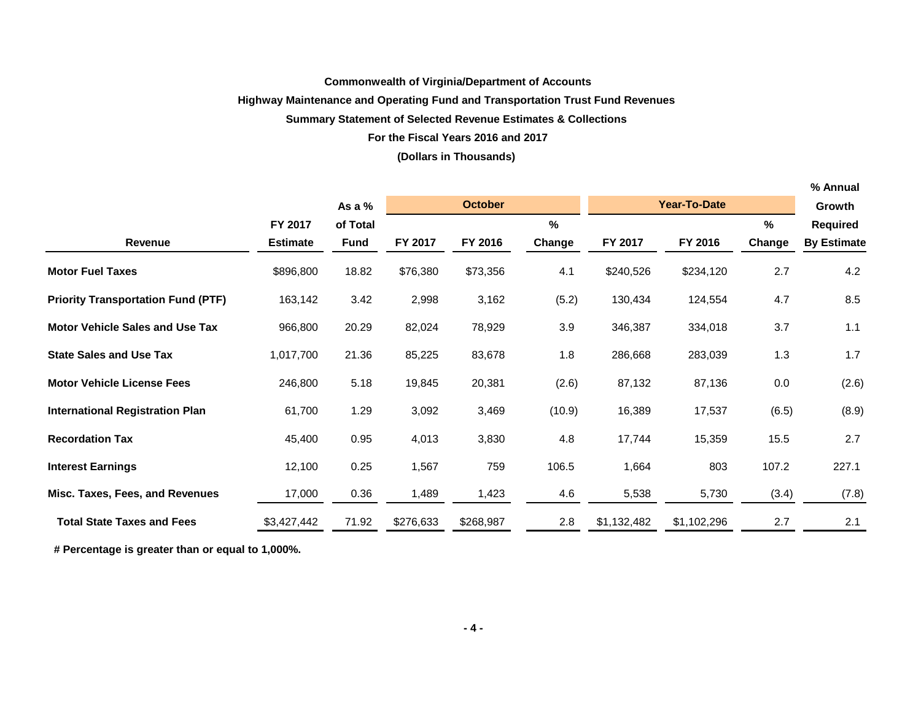#### **Commonwealth of Virginia/Department of Accounts**

#### **Highway Maintenance and Operating Fund and Transportation Trust Fund Revenues**

### **Summary Statement of Selected Revenue Estimates & Collections**

#### **For the Fiscal Years 2016 and 2017**

#### **(Dollars in Thousands)**

|                                           |                 |          |           |                |        |             |                     |        | % Annual           |
|-------------------------------------------|-----------------|----------|-----------|----------------|--------|-------------|---------------------|--------|--------------------|
|                                           |                 | As a %   |           | <b>October</b> |        |             | <b>Year-To-Date</b> |        | Growth             |
|                                           | FY 2017         | of Total |           |                | %      |             |                     | %      | <b>Required</b>    |
| <b>Revenue</b>                            | <b>Estimate</b> | Fund     | FY 2017   | FY 2016        | Change | FY 2017     | FY 2016             | Change | <b>By Estimate</b> |
| <b>Motor Fuel Taxes</b>                   | \$896,800       | 18.82    | \$76,380  | \$73,356       | 4.1    | \$240,526   | \$234,120           | 2.7    | 4.2                |
| <b>Priority Transportation Fund (PTF)</b> | 163,142         | 3.42     | 2,998     | 3,162          | (5.2)  | 130,434     | 124,554             | 4.7    | 8.5                |
| <b>Motor Vehicle Sales and Use Tax</b>    | 966,800         | 20.29    | 82,024    | 78,929         | 3.9    | 346,387     | 334,018             | 3.7    | 1.1                |
| <b>State Sales and Use Tax</b>            | 1,017,700       | 21.36    | 85,225    | 83,678         | 1.8    | 286,668     | 283,039             | 1.3    | 1.7                |
| <b>Motor Vehicle License Fees</b>         | 246,800         | 5.18     | 19,845    | 20,381         | (2.6)  | 87,132      | 87,136              | 0.0    | (2.6)              |
| <b>International Registration Plan</b>    | 61,700          | 1.29     | 3,092     | 3,469          | (10.9) | 16,389      | 17,537              | (6.5)  | (8.9)              |
| <b>Recordation Tax</b>                    | 45,400          | 0.95     | 4,013     | 3,830          | 4.8    | 17,744      | 15,359              | 15.5   | 2.7                |
| <b>Interest Earnings</b>                  | 12,100          | 0.25     | 1,567     | 759            | 106.5  | 1,664       | 803                 | 107.2  | 227.1              |
| Misc. Taxes, Fees, and Revenues           | 17,000          | 0.36     | 1,489     | 1,423          | 4.6    | 5,538       | 5,730               | (3.4)  | (7.8)              |
| <b>Total State Taxes and Fees</b>         | \$3,427,442     | 71.92    | \$276,633 | \$268,987      | 2.8    | \$1,132,482 | \$1,102,296         | 2.7    | 2.1                |

 **# Percentage is greater than or equal to 1,000%.**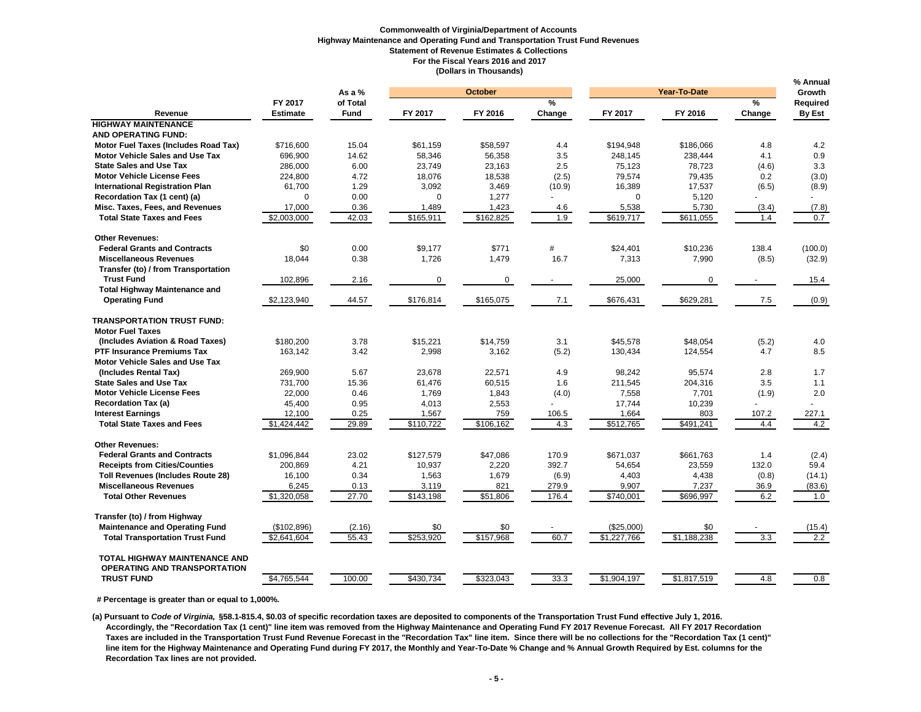#### **Commonwealth of Virginia/Department of Accounts Highway Maintenance and Operating Fund and Transportation Trust Fund Revenues Statement of Revenue Estimates & Collections For the Fiscal Years 2016 and 2017 (Dollars in Thousands)**

|                                          |                 | As a $%$ | <b>October</b> |           |               |             | Year-To-Date |               |                    |  |
|------------------------------------------|-----------------|----------|----------------|-----------|---------------|-------------|--------------|---------------|--------------------|--|
|                                          | FY 2017         | of Total |                |           | $\frac{0}{2}$ |             |              | $\frac{9}{6}$ | Growth<br>Required |  |
| Revenue                                  | <b>Estimate</b> | Fund     | FY 2017        | FY 2016   | Change        | FY 2017     | FY 2016      | Change        | <b>By Est</b>      |  |
| <b>HIGHWAY MAINTENANCE</b>               |                 |          |                |           |               |             |              |               |                    |  |
| <b>AND OPERATING FUND:</b>               |                 |          |                |           |               |             |              |               |                    |  |
| Motor Fuel Taxes (Includes Road Tax)     | \$716,600       | 15.04    | \$61,159       | \$58,597  | 4.4           | \$194,948   | \$186,066    | 4.8           | 4.2                |  |
| <b>Motor Vehicle Sales and Use Tax</b>   | 696,900         | 14.62    | 58,346         | 56,358    | 3.5           | 248,145     | 238,444      | 4.1           | 0.9                |  |
| <b>State Sales and Use Tax</b>           | 286,000         | 6.00     | 23,749         | 23,163    | 2.5           | 75,123      | 78,723       | (4.6)         | 3.3                |  |
| <b>Motor Vehicle License Fees</b>        | 224,800         | 4.72     | 18,076         | 18,538    | (2.5)         | 79,574      | 79,435       | 0.2           | (3.0)              |  |
| <b>International Registration Plan</b>   | 61,700          | 1.29     | 3,092          | 3,469     | (10.9)        | 16,389      | 17,537       | (6.5)         | (8.9)              |  |
| Recordation Tax (1 cent) (a)             | $\Omega$        | 0.00     | $\mathbf 0$    | 1,277     |               | $\mathbf 0$ | 5,120        |               |                    |  |
| Misc. Taxes, Fees, and Revenues          | 17,000          | 0.36     | 1,489          | 1,423     | 4.6           | 5,538       | 5,730        | (3.4)         | (7.8)              |  |
| <b>Total State Taxes and Fees</b>        | \$2,003,000     | 42.03    | \$165,911      | \$162,825 | 1.9           | \$619,717   | \$611,055    | 1.4           | 0.7                |  |
|                                          |                 |          |                |           |               |             |              |               |                    |  |
| <b>Other Revenues:</b>                   |                 |          |                |           |               |             |              |               |                    |  |
| <b>Federal Grants and Contracts</b>      | \$0             | 0.00     | \$9,177        | \$771     | #             | \$24,401    | \$10,236     | 138.4         | (100.0)            |  |
| <b>Miscellaneous Revenues</b>            | 18,044          | 0.38     | 1,726          | 1,479     | 16.7          | 7,313       | 7,990        | (8.5)         | (32.9)             |  |
| Transfer (to) / from Transportation      |                 |          |                |           |               |             |              |               |                    |  |
| <b>Trust Fund</b>                        | 102,896         | 2.16     | 0              | 0         |               | 25,000      | 0            |               | 15.4               |  |
| <b>Total Highway Maintenance and</b>     |                 |          |                |           |               |             |              |               |                    |  |
| <b>Operating Fund</b>                    | \$2,123,940     | 44.57    | \$176,814      | \$165,075 | 7.1           | \$676,431   | \$629,281    | 7.5           | (0.9)              |  |
|                                          |                 |          |                |           |               |             |              |               |                    |  |
| <b>TRANSPORTATION TRUST FUND:</b>        |                 |          |                |           |               |             |              |               |                    |  |
| <b>Motor Fuel Taxes</b>                  |                 |          |                |           |               |             |              |               |                    |  |
| (Includes Aviation & Road Taxes)         | \$180,200       | 3.78     | \$15,221       | \$14,759  | 3.1           | \$45,578    | \$48,054     | (5.2)         | 4.0                |  |
| <b>PTF Insurance Premiums Tax</b>        | 163,142         | 3.42     | 2,998          | 3,162     | (5.2)         | 130,434     | 124,554      | 4.7           | 8.5                |  |
| <b>Motor Vehicle Sales and Use Tax</b>   |                 |          |                |           |               |             |              |               |                    |  |
| (Includes Rental Tax)                    | 269,900         | 5.67     | 23,678         | 22,571    | 4.9           | 98,242      | 95,574       | 2.8           | 1.7                |  |
| <b>State Sales and Use Tax</b>           | 731,700         | 15.36    | 61,476         | 60,515    | 1.6           | 211,545     | 204,316      | 3.5           | 1.1                |  |
| <b>Motor Vehicle License Fees</b>        | 22,000          | 0.46     | 1,769          | 1,843     | (4.0)         | 7,558       | 7,701        | (1.9)         | 2.0                |  |
| <b>Recordation Tax (a)</b>               | 45,400          | 0.95     | 4,013          | 2,553     |               | 17,744      | 10,239       |               |                    |  |
| <b>Interest Earnings</b>                 | 12,100          | 0.25     | 1,567          | 759       | 106.5         | 1,664       | 803          | 107.2         | 227.1              |  |
| <b>Total State Taxes and Fees</b>        | \$1,424,442     | 29.89    | \$110,722      | \$106,162 | 4.3           | \$512,765   | \$491,241    | 4.4           | 4.2                |  |
|                                          |                 |          |                |           |               |             |              |               |                    |  |
| <b>Other Revenues:</b>                   |                 |          |                |           |               |             |              |               |                    |  |
| <b>Federal Grants and Contracts</b>      | \$1,096,844     | 23.02    | \$127,579      | \$47,086  | 170.9         | \$671,037   | \$661,763    | 1.4           | (2.4)              |  |
| <b>Receipts from Cities/Counties</b>     | 200,869         | 4.21     | 10,937         | 2,220     | 392.7         | 54,654      | 23,559       | 132.0         | 59.4               |  |
| <b>Toll Revenues (Includes Route 28)</b> | 16,100          | 0.34     | 1,563          | 1,679     | (6.9)         | 4,403       | 4,438        | (0.8)         | (14.1)             |  |
| <b>Miscellaneous Revenues</b>            | 6,245           | 0.13     | 3,119          | 821       | 279.9         | 9,907       | 7,237        | 36.9          | (83.6)             |  |
| <b>Total Other Revenues</b>              | \$1,320,058     | 27.70    | \$143,198      | \$51,806  | 176.4         | \$740,001   | \$696,997    | 6.2           | 1.0                |  |
|                                          |                 |          |                |           |               |             |              |               |                    |  |
| Transfer (to) / from Highway             |                 |          |                |           |               |             |              |               |                    |  |
| <b>Maintenance and Operating Fund</b>    | (\$102,896)     | (2.16)   | \$0            | \$0       |               | (\$25,000)  | \$0          |               | (15.4)             |  |
| <b>Total Transportation Trust Fund</b>   | \$2,641,604     | 55.43    | \$253,920      | \$157,968 | 60.7          | \$1,227,766 | \$1,188,238  | 3.3           | $\overline{2.2}$   |  |
|                                          |                 |          |                |           |               |             |              |               |                    |  |
| <b>TOTAL HIGHWAY MAINTENANCE AND</b>     |                 |          |                |           |               |             |              |               |                    |  |
| <b>OPERATING AND TRANSPORTATION</b>      |                 |          |                |           |               |             |              |               |                    |  |
| <b>TRUST FUND</b>                        | \$4,765,544     | 100.00   | \$430,734      | \$323,043 | 33.3          | \$1,904,197 | \$1,817,519  | 4.8           | 0.8                |  |
|                                          |                 |          |                |           |               |             |              |               |                    |  |

 **# Percentage is greater than or equal to 1,000%.**

 **(a) Pursuant to** *Code of Virginia,* **§58.1-815.4, \$0.03 of specific recordation taxes are deposited to components of the Transportation Trust Fund effective July 1, 2016. Accordingly, the "Recordation Tax (1 cent)" line item was removed from the Highway Maintenance and Operating Fund FY 2017 Revenue Forecast. All FY 2017 Recordation Taxes are included in the Transportation Trust Fund Revenue Forecast in the "Recordation Tax" line item. Since there will be no collections for the "Recordation Tax (1 cent)" line item for the Highway Maintenance and Operating Fund during FY 2017, the Monthly and Year-To-Date % Change and % Annual Growth Required by Est. columns for the Recordation Tax lines are not provided.**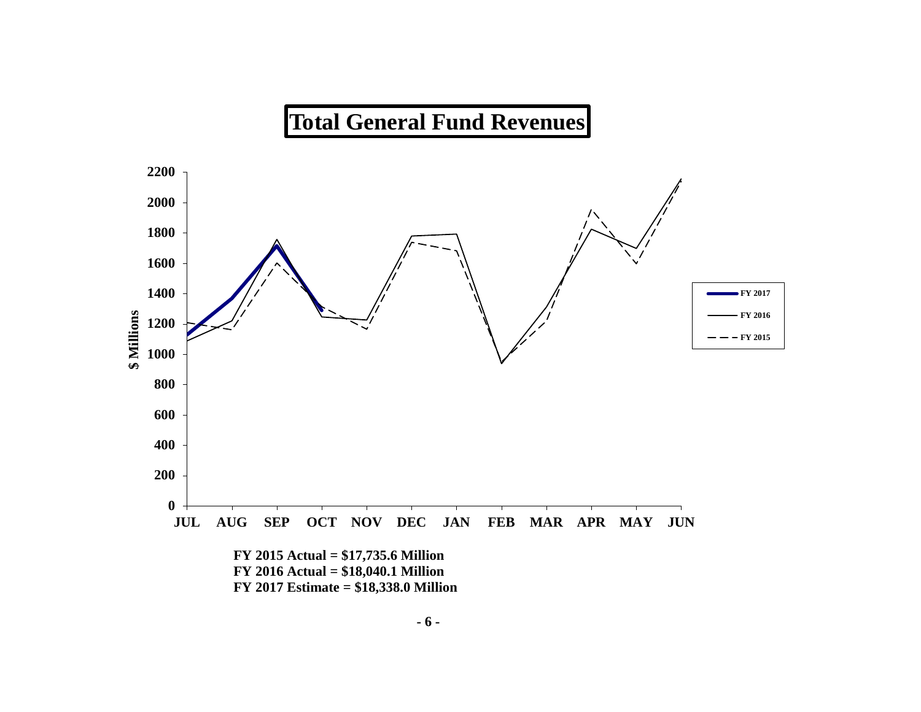# **Total General Fund Revenues**

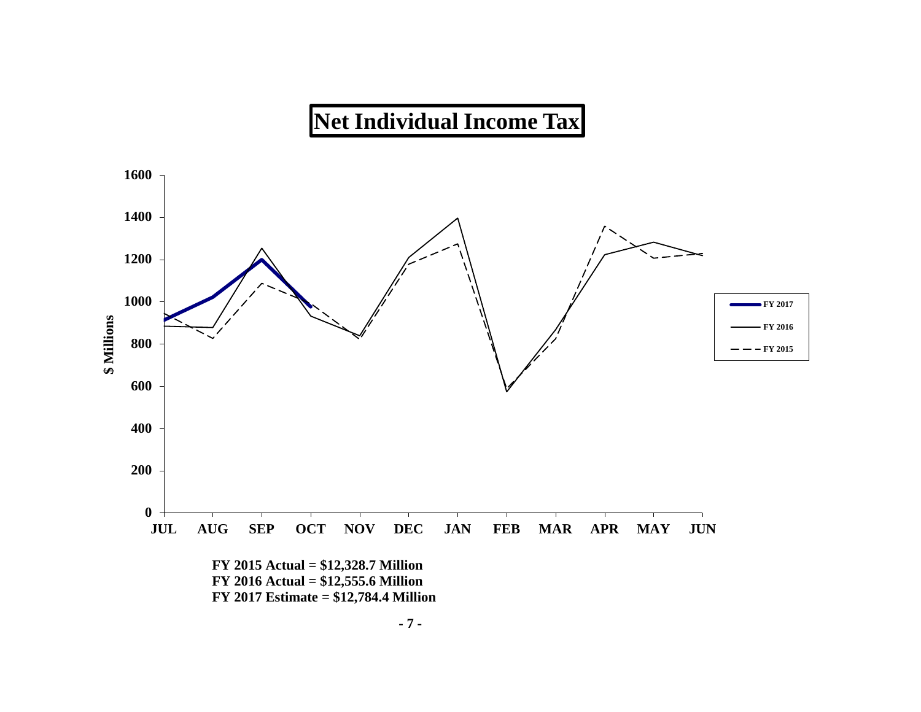# **Net Individual Income Tax**

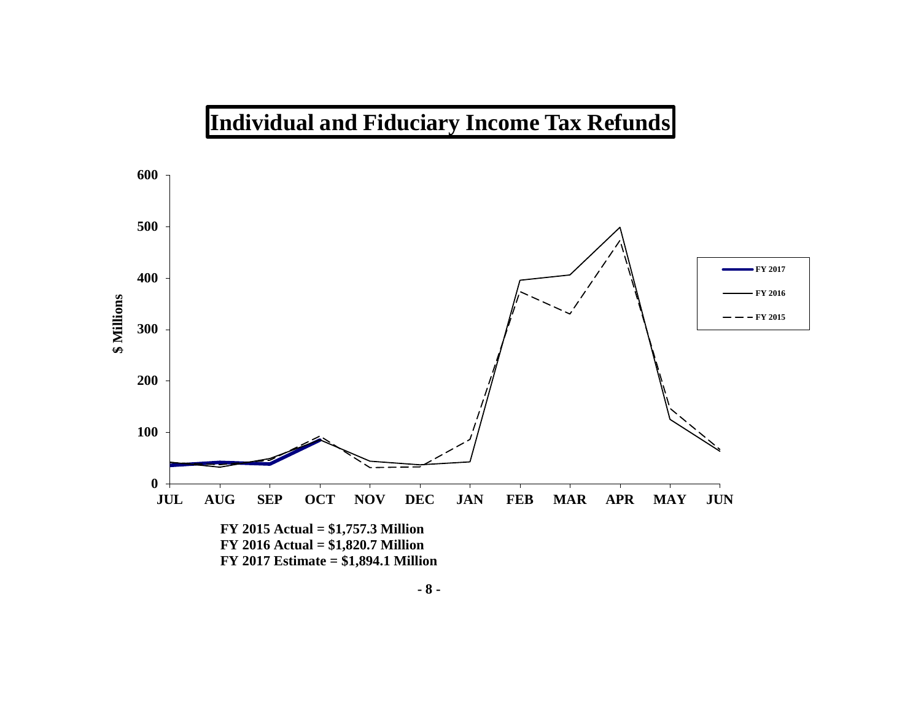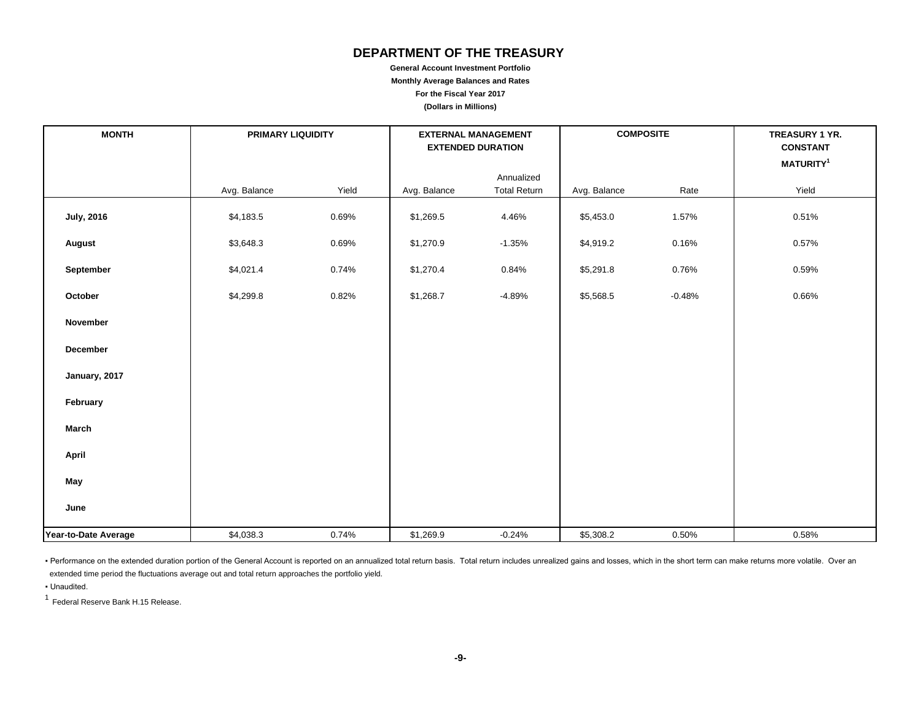## **DEPARTMENT OF THE TREASURY**

**General Account Investment Portfolio Monthly Average Balances and Rates For the Fiscal Year 2017 (Dollars in Millions)**

| <b>MONTH</b>         | <b>PRIMARY LIQUIDITY</b> |       |              | <b>EXTERNAL MANAGEMENT</b><br><b>EXTENDED DURATION</b> | <b>COMPOSITE</b> |          | TREASURY 1 YR.<br><b>CONSTANT</b> |
|----------------------|--------------------------|-------|--------------|--------------------------------------------------------|------------------|----------|-----------------------------------|
|                      |                          |       |              |                                                        |                  |          | MATURITY <sup>1</sup>             |
|                      | Avg. Balance             | Yield | Avg. Balance | Annualized<br><b>Total Return</b>                      | Avg. Balance     | Rate     | Yield                             |
| <b>July, 2016</b>    | \$4,183.5                | 0.69% | \$1,269.5    | 4.46%                                                  | \$5,453.0        | 1.57%    | 0.51%                             |
| August               | \$3,648.3                | 0.69% | \$1,270.9    | $-1.35%$                                               | \$4,919.2        | 0.16%    | 0.57%                             |
| September            | \$4,021.4                | 0.74% | \$1,270.4    | 0.84%                                                  | \$5,291.8        | 0.76%    | 0.59%                             |
| October              | \$4,299.8                | 0.82% | \$1,268.7    | $-4.89%$                                               | \$5,568.5        | $-0.48%$ | 0.66%                             |
| November             |                          |       |              |                                                        |                  |          |                                   |
| December             |                          |       |              |                                                        |                  |          |                                   |
| January, 2017        |                          |       |              |                                                        |                  |          |                                   |
| February             |                          |       |              |                                                        |                  |          |                                   |
| March                |                          |       |              |                                                        |                  |          |                                   |
| April                |                          |       |              |                                                        |                  |          |                                   |
| May                  |                          |       |              |                                                        |                  |          |                                   |
| June                 |                          |       |              |                                                        |                  |          |                                   |
| Year-to-Date Average | \$4,038.3                | 0.74% | \$1,269.9    | $-0.24%$                                               | \$5,308.2        | 0.50%    | 0.58%                             |

• Performance on the extended duration portion of the General Account is reported on an annualized total return basis. Total return includes unrealized gains and losses, which in the short term can make returns more volati extended time period the fluctuations average out and total return approaches the portfolio yield.

▪ Unaudited.

<sup>1</sup> Federal Reserve Bank H.15 Release.